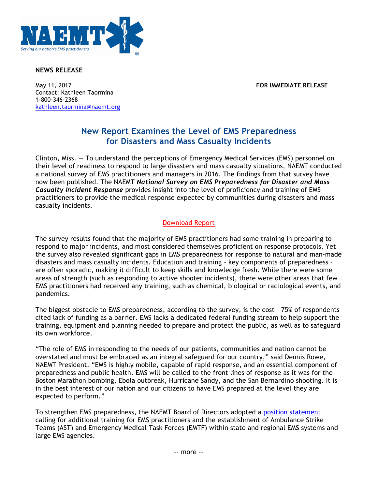

## **NEWS RELEASE**

May 11, 2017 **FOR IMMEDIATE RELEASE** Contact: Kathleen Taormina 1-800-346-2368 kathleen.taormina@naemt.org

## **New Report Examines the Level of EMS Preparedness for Disasters and Mass Casualty Incidents**

Clinton, Miss. — To understand the perceptions of Emergency Medical Services (EMS) personnel on their level of readiness to respond to large disasters and mass casualty situations, NAEMT conducted a national survey of EMS practitioners and managers in 2016. The findings from that survey have now been published. The NAEMT *National Survey on EMS Preparedness for Disaster and Mass Casualty Incident Response* provides insight into the level of proficiency and training of EMS practitioners to provide the medical response expected by communities during disasters and mass casualty incidents.

## [Download Report](http://www.naemt.org/docs/default-source/ems-agencies/EMS-Preparedness/2017-naemt-ems-preparedness-report.pdf?sfvrsn=0)

The survey results found that the majority of EMS practitioners had some training in preparing to respond to major incidents, and most considered themselves proficient on response protocols. Yet the survey also revealed significant gaps in EMS preparedness for response to natural and man-made disasters and mass casualty incidents. Education and training – key components of preparedness – are often sporadic, making it difficult to keep skills and knowledge fresh. While there were some areas of strength (such as responding to active shooter incidents), there were other areas that few EMS practitioners had received any training, such as chemical, biological or radiological events, and pandemics.

The biggest obstacle to EMS preparedness, according to the survey, is the cost – 75% of respondents cited lack of funding as a barrier. EMS lacks a dedicated federal funding stream to help support the training, equipment and planning needed to prepare and protect the public, as well as to safeguard its own workforce.

"The role of EMS in responding to the needs of our patients, communities and nation cannot be overstated and must be embraced as an integral safeguard for our country," said Dennis Rowe, NAEMT President. "EMS is highly mobile, capable of rapid response, and an essential component of preparedness and public health. EMS will be called to the front lines of response as it was for the Boston Marathon bombing, Ebola outbreak, Hurricane Sandy, and the San Bernardino shooting. It is in the best interest of our nation and our citizens to have EMS prepared at the level they are expected to perform."

To strengthen EMS preparedness, the NAEMT Board of Directors adopted a [position statement](http://www.naemt.org/docs/default-source/advocacy-documents/positions/ambulance-strike-team-position-statement-4-5-17.pdf?sfvrsn=4) calling for additional training for EMS practitioners and the establishment of Ambulance Strike Teams (AST) and Emergency Medical Task Forces (EMTF) within state and regional EMS systems and large EMS agencies.